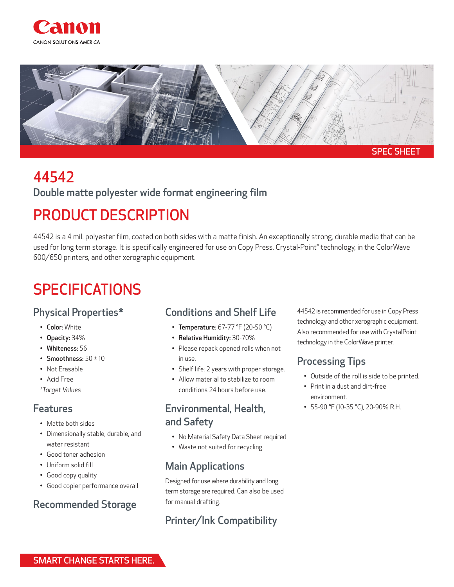



# 44542

### Double matte polyester wide format engineering film

# PRODUCT DESCRIPTION

44542 is a 4 mil. polyester film, coated on both sides with a matte finish. An exceptionally strong, durable media that can be used for long term storage. It is specifically engineered for use on Copy Press, Crystal-Point® technology, in the ColorWave 600/650 printers, and other xerographic equipment.

# **SPECIFICATIONS**

#### Physical Properties\*

- Color: White
- Opacity: 34%
- Whiteness: 56
- Smoothness:  $50 \pm 10$
- Not Erasable
- Acid Free
- *\*Target Values*

#### Features

- Matte both sides
- Dimensionally stable, durable, and water resistant
- Good toner adhesion
- Uniform solid fill
- Good copy quality
- Good copier performance overall

### Recommended Storage

#### Conditions and Shelf Life

- Temperature: 67-77 °F (20-50 °C)
- Relative Humidity: 30-70%
- Please repack opened rolls when not in use.
- Shelf life: 2 years with proper storage.
- Allow material to stabilize to room conditions 24 hours before use.

#### Environmental, Health, and Safety

- No Material Safety Data Sheet required.
- Waste not suited for recycling.

### Main Applications

Designed for use where durability and long term storage are required. Can also be used for manual drafting.

## Printer/Ink Compatibility

44542 is recommended for use in Copy Press technology and other xerographic equipment. Also recommended for use with CrystalPoint technology in the ColorWave printer.

### Processing Tips

- Outside of the roll is side to be printed.
- Print in a dust and dirt-free environment.
- 55-90 °F (10-35 °C), 20-90% R.H.